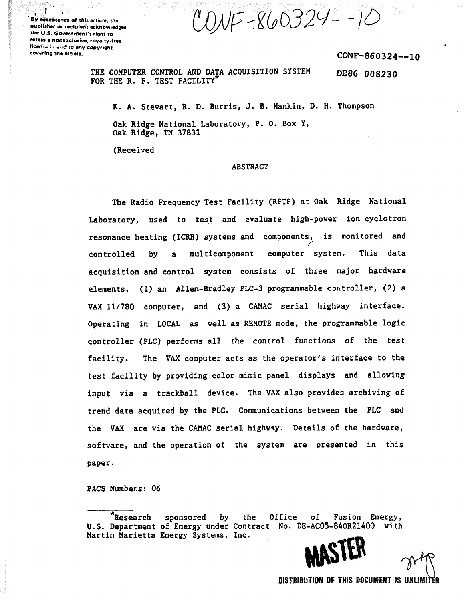ONF-860324--10

By acceptance **of this** article, the publisher or recipient acknowledges the U.S. Government's right to retain a nonexclusive, royalty-free Mean:: ;,. **^njj** to any copyright cov-ring the article.

ann a

Page 2014

CONF-860324--10

**THE COMPUTER CONTROL AND DATA ACQUISITION SYSTEM FOR THE R. F. TEST FACILITY** DE86 008230

**K. A. Stewart, R. D. Burris, J. B. Mankin, D. H. Thompson**

**Oak Ridge National Laboratory, P. 0. Box Y, Oak Ridge, TN 37831**

**(Received**

#### **ABSTRACT**

**The Radio Frequency Test Facility (RFTF) at Oak Ridge National Laboratory, used to test and evaluate high-power ion cyclotron resonance heating (ICRH) systems and components,, is monitored and controlled by a multicomponent computer system. This data acquisition and control system consists of three major hardware elements, (1) an Allen-Bradley PLC-3 programmable controller, (2) a VAX 11/780 computer, and (3) a CAMAC serial highway interface. Operating in LOCAL as well as REMOTE mode, the programmable logic controller (PLC) performs all the control functions of the test facility. The VAX computer acts as the operator's interface to the test facility by providing color mimic panel displays and allowing input via a trackball device. The VAX also provides archiving of trend data acquired by the PLC. Communications between the PLC and the VAX are via the CAMAC serial highway. Details of the hardware, software, and the operation of the system are presented in this paper.**

**PACS Numbers: 06**

**\*Research sponsored by the Office of Fusion Energy, U.S. Department of Energy under Contract No. DE-AC05-840R21400 with** Martin Marietta Energy Systems, Inc.



**DISTRIBUTION OF THIS DOCUMENT IS UMJIHTO**

**V\*K**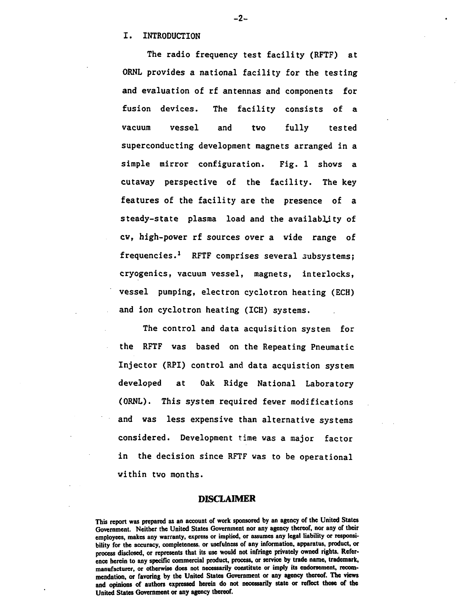### **I. INTRODUCTION**

**The radio frequency test facility (RFTF) at ORNL provides a national facility for the testing and evaluation of rf antennas and components for fusion devices. The facility consists of a vacuum vessel and two fully tested superconducting development magnets arranged in a simple mirror configuration. Fig. 1 shows a cutaway perspective of the facility. The key features of the facility are the presence of a steady-state plasma load and the availability of cw, high-power rf sources over a wide range of frequencies.<sup>1</sup> RFTF comprises several subsystems; cryogenics, vacuum vessel, magnets, interlocks, vessel pumping, electron cyclotron heating (ECH) and ion cyclotron heating (ICH) systems.**

**The control and data acquisition system for the RFTF was based on the Repeating Pneumatic Injector (RPI) control and data acquistion system developed at Oak Ridge National Laboratory (ORNL). This system required fewer modifications and was less expensive than alternative systems considered. Development time was a major factor in the decision since RFTF was to be operational within two months.**

### DISCLAIMER

**This report was prepared as an account of work sponsored by an agency of the United States Government. Neither the United States Government nor any agency thereof, nor any of their employees, makes any warranty, express or implied, or assumes any legal liability or responsibility for the accuracy, completeness, or usefulness of any information, apparatus, product, or process disclosed, or represents that its use would not infringe privately owned rights. Reference herein to any specific commercial product, process, or service by trade name, trademark, manufacturer, or otherwise does not necessarily constitute or imply its endorsement, recommendation, or favoring by the United States Government or any agency thereof. The views and opinions of authors expressed herein do not necessarily state or reflect those of the United States Government or any agency thereof.**

#### **- 2-**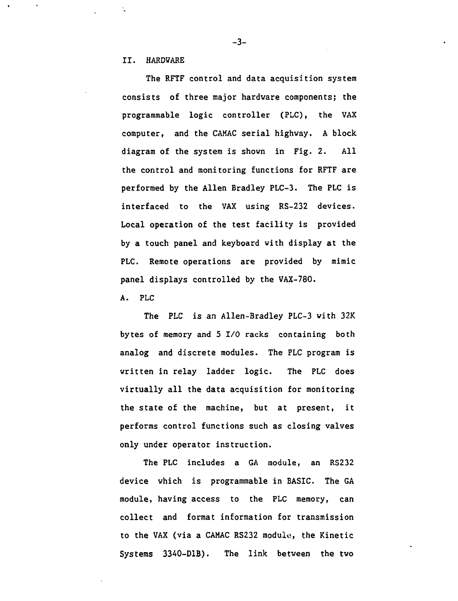**II. HARDWARE**

**The RFTF control and data acquisition system consists of three major hardware components; the programmable logic controller (PLC), the VAX computer, and the CAMAC serial highway. A block, diagram of the system is shown in Fig. 2. All the control and monitoring functions for RFTF are performed by the Allen Bradley PLC-3. The PLC is interfaced to the VAX using RS-232 devices. Local operation of the test facility is provided by a touch panel and keyboard with display at the PLC. Remote operations are provided by mimic panel displays controlled by the VAX-780.**

**A. PLC**

**The PLC is an Allen-Bradley PLC-3 with 32K bytes of memory and 5 I/O racks containing both analog and discrete modules. The PLC program is written in relay ladder logic. The PLC does virtually all the data acquisition for monitoring the state of the machine, but at present, it performs control functions such as closing valves only under operator instruction.**

**The PLC includes a GA module, an RS232 device which is programmable in BASIC. The GA module, having access to the PLC memory, can collect and format information for transmission to the VAX (via a CAMAC RS232 module, the Kinetic Systems 3340-D1B). The link between the two**

**-3-**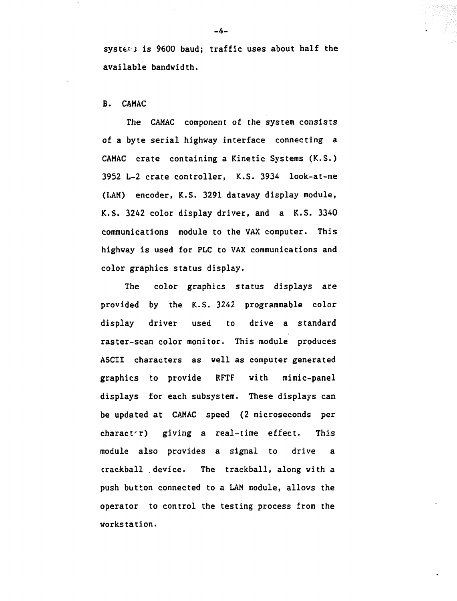**systtEj is 9600 baud; traffic uses about half the available bandwidth.**

## **B. CAMAC**

**The CAMAC component of the system consists of a byte serial highway interface connecting a CAMAC crate containing a Kinetic Systems (K.S.) 3952 L-2 crate controller, K.S. 3934 look-at-me (LAM) encoder, K.S. 3291 dataway display module, K.S. 3242 color display driver, and a K.S. 3340 communications module to the VAX computer. This highway is used for PLC to VAX communications and color graphics status display.**

**The color graphics status displays are provided by the K.S. 3242 programmable color display driver used to drive a standard raster-scan color monitor. This module produces ASCII characters as well as computer generated graphics to provide RFTF with mimic-panel displays for each subsystem. These displays can be updated at CAMAC speed (2 microseconds per character) giving a real-time effect. This module also provides a signal to drive a trackball device. The trackball, along with a push button connected to a LAM module, allows the operator to control the testing process from the workstation.**

**-4-**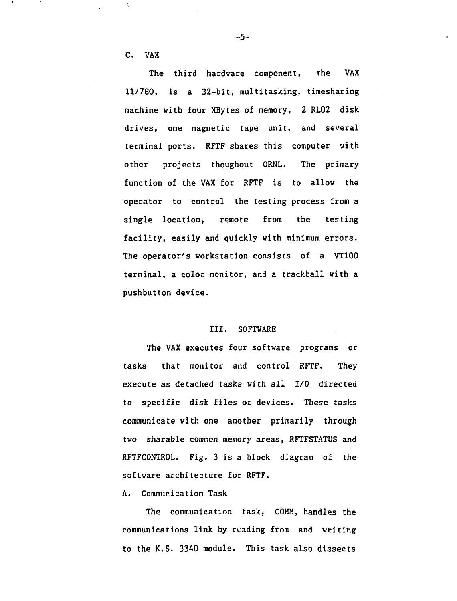**C. VAX**

 $\ddot{\star}$ 

**The third hardware component, the VAX 11/780, is a 32-bit, multitasking, timesharing machine with four HBytes of memory, 2 RL02 disk drives, one magnetic tape unit, and several terminal ports. RFTF shares this computer with other projects thoughout ORNL. The primary function of the VAX for RFTF is to allow the operator to control the testing process from a single location, remote from the testing facility, easily and quickly with minimum errors. The operator's workstation consists of a VT100 terminal, a color monitor, and a trackball with a pushbutton device.**

### **III. SOFTWARE**

**The VAX executes four software programs or tasks that monitor and control RFTF. They execute as detached tasks with all I/O directed to specific disk files or devices. These tasks communicate with one another primarily through two sharable common memory areas, RFTFSTATUS and RFTFCONTROL. Fig. 3 is a block diagram of the software architecture for RFTF.**

## **A. Communication Task**

**The communication task, COMM, handles the communications link by reading from and writing to the K.S. 3340 module. This task also dissects**

**-5-**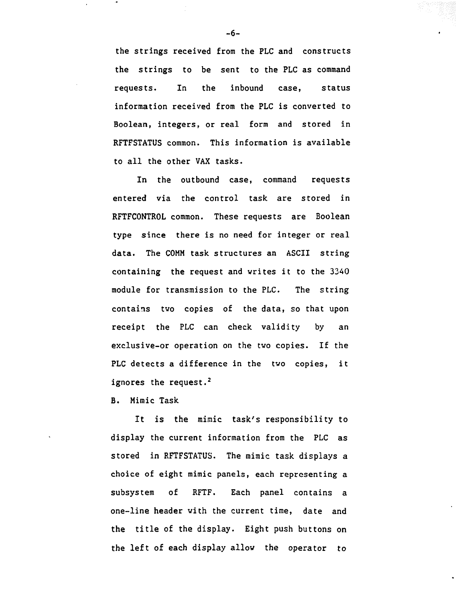**the strings received from the PLC and constructs the strings to be sent to the PLC as command requests. In the inbound case, status information received from the PLC is converted to Boolean, integers, or real form and stored in RFTFSTATUS common. This information is available to all the other VAX tasks.**

**In the outbound case, command requests entered via the control task are stored in RFTFCONTROL common. These requests are Boolean type since there is no need for integer or real data. The COMM task structures an ASCII string containing the request and writes it to the 3340 module for transmission to the PLC. The string contains two copies of the data, so that upon receipt the PLC can check validity by an exclusive-or operation on the two copies. If the PLC detects a difference in the two copies, it ignores the request.<sup>2</sup>**

**B. Mimic Task**

**It is the mimic task's responsibility to display the current information from the PLC as stored in RFTFSTATUS. The mimic task displays a choice of eight mimic panels, each representing a subsystem of RFTF. Each panel contains a one-line header with the current time, date and the title of the display. Eight push buttons on the left of each display allow the operator to**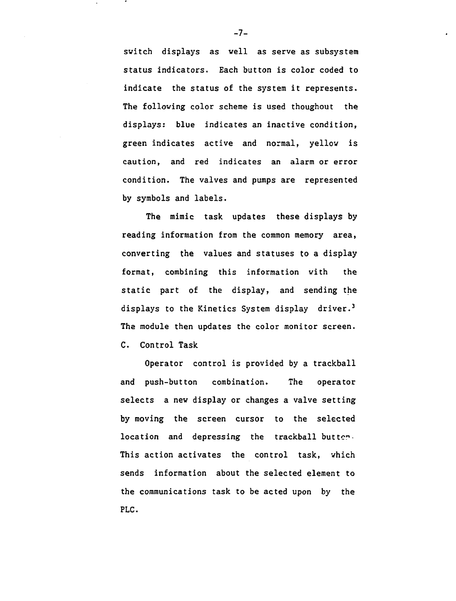switch displays as well as serve as subsystem status indicators. Each button is color coded to indicate the status of the system it represents. The following color scheme is used thoughout the displays: blue indicates an inactive condition, green indicates active and normal, yellow is caution, and red indicates an alarm or error condition. The valves and pumps are represented by symbols and labels.

The mimic task updates these displays by reading information from the common memory area, converting the values and statuses to a display format, combining this information with the static part of the display, and sending the displays to the Kinetics System display driver.<sup>3</sup> The module then updates the color monitor screen. C. Control Task

Operator control is provided by a trackball and push-button combination. The operator selects a new display or changes a valve setting by moving the screen cursor to the selected location and depressing the trackball butten. This action activates the control task, which sends information about the selected element to the communications task to be acted upon by the PLC.

 $-7-$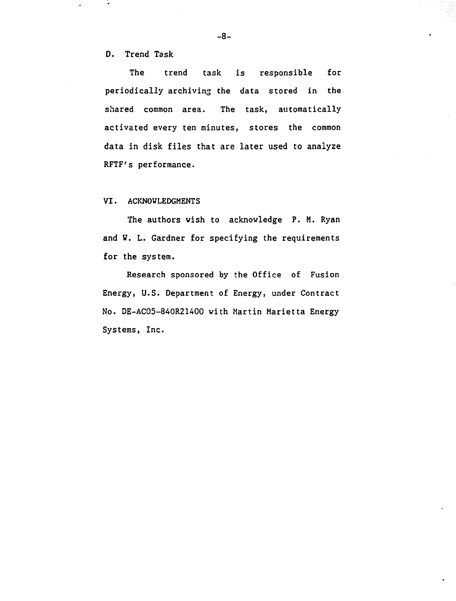D. Trend Task

The trend task is responsible for periodically archiving the data stored in the shared common area. The task, automatically activated every ten minutes, stores the common data in disk files that are later used to analyze RFTF's performance.

VI. ACKNOWLEDGMENTS

The authors wish to acknowledge P. M. Ryan and V. L. Gardner for specifying the requirements for the system.

Research sponsored by the Office of Fusion Energy, U.S. Department of Energy, under Contract No. DE-AC05-840R21400 with Martin Marietta Energy Systems, Inc.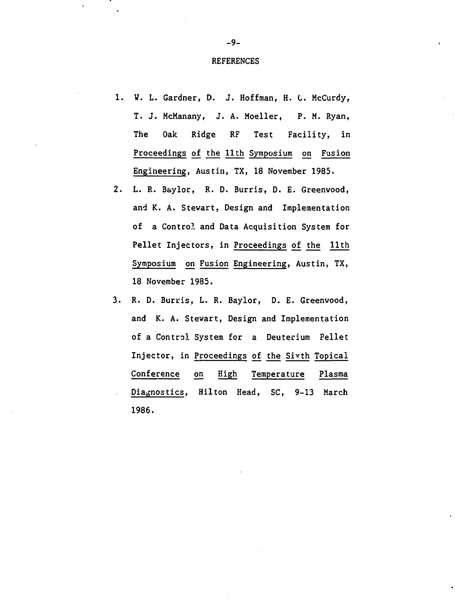#### REFERENCES

- 1. W. L. Gardner, D. J. Hoffman, H. C. McCurdy, T. J. HcManany, J. A. Moeller, P. M. Ryan, The Oak Ridge RF Test Facility, in Proceedings of the 11th Symposium on Fusion Engineering, Austin, TX, 18 November 1985.
- 2. L. R. Baylor, R. D. Burris, D. E. Greenwood, and K. A. Stewart, Design and Implementation of a Control and Data Acquisition System for Pellet Injectors, in Proceedings of the 11th Symposium on Fusion Engineering, Austin, TX, 18 November 1985.
- 3. R. D. Burris, L. R. Baylor, D. E. Greenwood, and K. A. Stewart, Design and Implementation of a Control System for a Deuterium Pellet Injector, in Proceedings of the Sixth Topical Conference on High Temperature Plasma Diagnostics, Hilton Head, SC, 9-13 March 1986.

-9-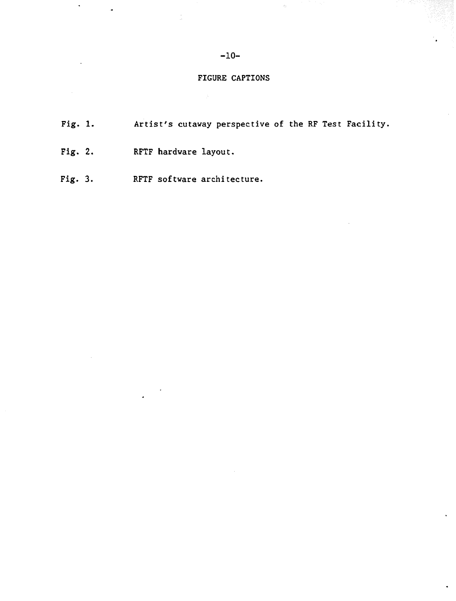## -10-

## FIGURE CAPTIONS

- Fig. 1. Artist's cutaway perspective of the RF Test Facility.
- Fig. 2. RFTF hardware layout.

 $\sim$ 

Fig. 3. RFTF software architecture.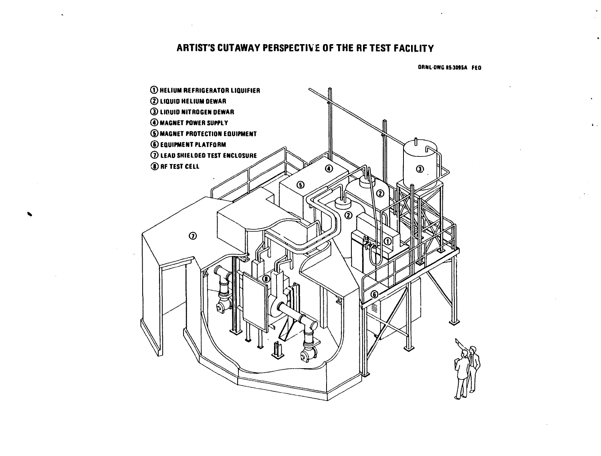# **ARTIST'S CUTAWAY PERSPECTIVE OF THE RF TEST FACILITY**

**ORNL-DWG 85-3095A FED** 

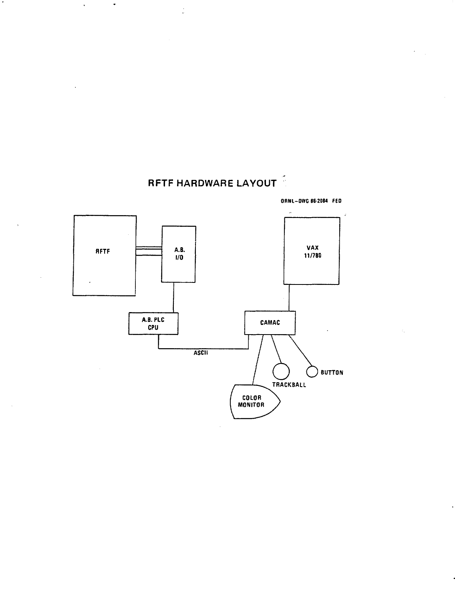

**RFTF HARDWARE LAYOUT**

 $\frac{1}{\sqrt{2}}$ 

 $\bullet$ 

 $\bullet$ 

 $\bar{\star}$ 

**ORNI-DIVG 86-2084 FED**

 $\ddot{\phantom{0}}$ 

 $\frac{1}{2}$